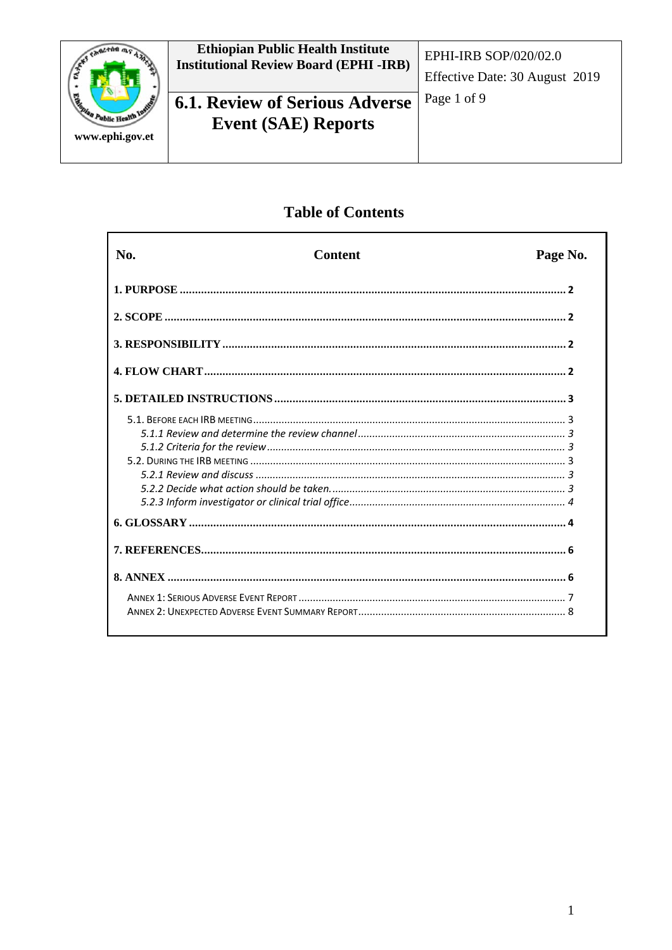

## **Table of Contents**

| No. | <b>Content</b> | Page No. |
|-----|----------------|----------|
|     |                |          |
|     |                |          |
|     |                |          |
|     |                |          |
|     |                |          |
|     |                |          |
|     |                |          |
|     |                |          |
|     |                |          |
|     |                |          |
|     |                |          |
|     |                |          |
|     |                |          |
|     |                |          |
|     |                |          |
|     |                |          |
|     |                |          |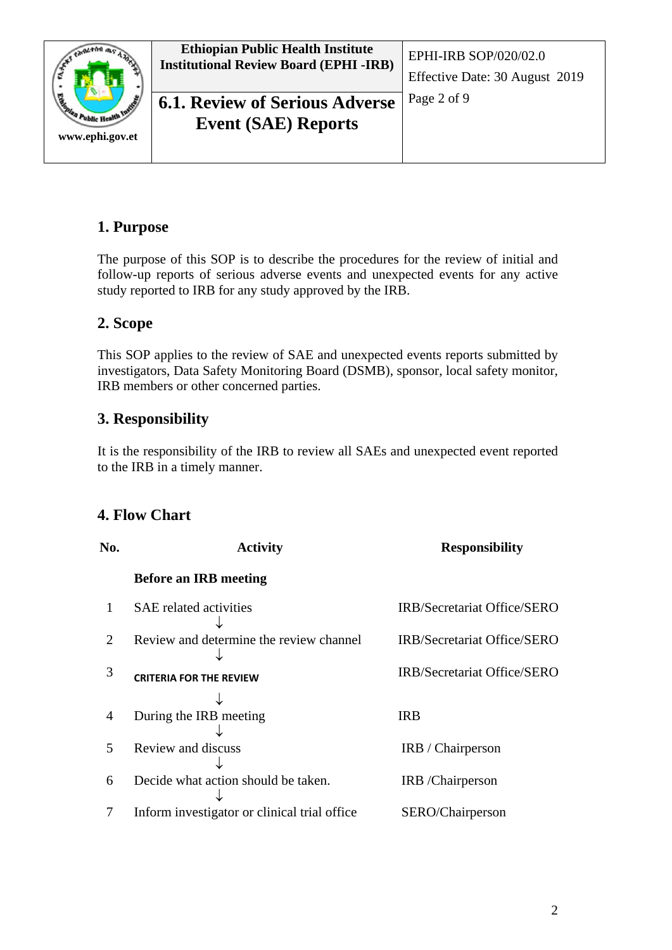

# **6.1. Review of Serious Adverse** Page 2 of 9 **Event (SAE) Reports**

### <span id="page-1-0"></span>**1. Purpose**

The purpose of this SOP is to describe the procedures for the review of initial and follow-up reports of serious adverse events and unexpected events for any active study reported to IRB for any study approved by the IRB.

## <span id="page-1-1"></span>**2. Scope**

This SOP applies to the review of SAE and unexpected events reports submitted by investigators, Data Safety Monitoring Board (DSMB), sponsor, local safety monitor, IRB members or other concerned parties.

## <span id="page-1-2"></span>**3. Responsibility**

It is the responsibility of the IRB to review all SAEs and unexpected event reported to the IRB in a timely manner.

## <span id="page-1-3"></span>**4. Flow Chart**

| No.                         | <b>Activity</b>                               | <b>Responsibility</b>              |
|-----------------------------|-----------------------------------------------|------------------------------------|
|                             | <b>Before an IRB meeting</b>                  |                                    |
|                             | <b>SAE</b> related activities                 | IRB/Secretariat Office/SERO        |
| $\mathcal{D}_{\mathcal{L}}$ | Review and determine the review channel       | IRB/Secretariat Office/SERO        |
| 3                           | <b>CRITERIA FOR THE REVIEW</b>                | <b>IRB/Secretariat Office/SERO</b> |
| $\overline{4}$              | During the IRB meeting                        | <b>IRB</b>                         |
| $\overline{\phantom{1}}$    | Review and discuss                            | IRB / Chairperson                  |
| 6                           | Decide what action should be taken.           | IRB / Chairperson                  |
|                             | Inform investigator or clinical trial office. | SERO/Chairperson                   |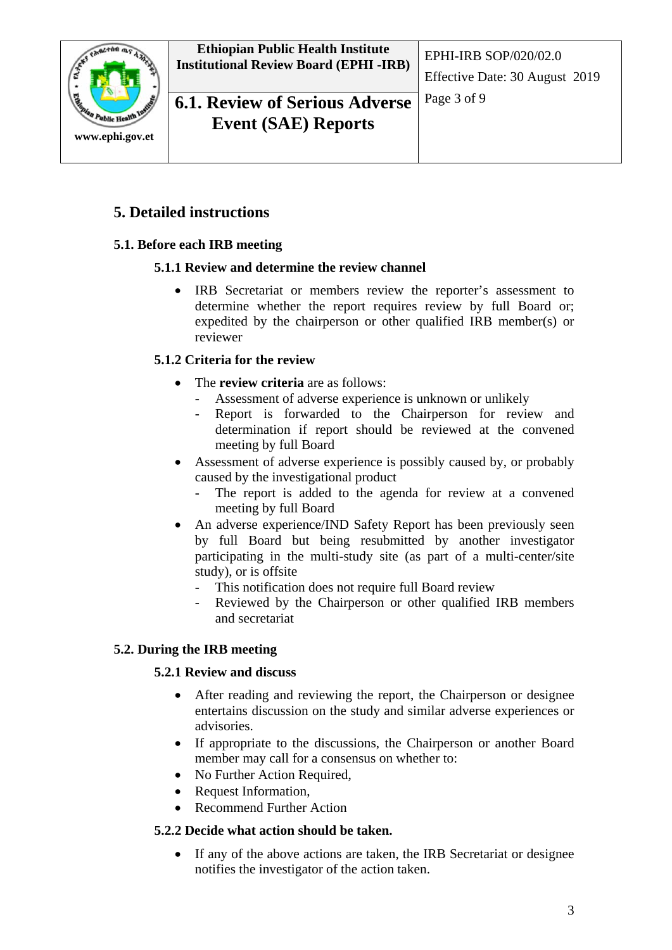

Page 3 of 9 **6.1. Review of Serious Adverse Event (SAE) Reports**

### <span id="page-2-0"></span>**5. Detailed instructions**

### <span id="page-2-2"></span><span id="page-2-1"></span>**5.1. Before each IRB meeting**

#### **5.1.1 Review and determine the review channel**

• IRB Secretariat or members review the reporter's assessment to determine whether the report requires review by full Board or; expedited by the chairperson or other qualified IRB member(s) or reviewer

#### <span id="page-2-3"></span>**5.1.2 Criteria for the review**

- The **review criteria** are as follows:
	- Assessment of adverse experience is unknown or unlikely
	- Report is forwarded to the Chairperson for review and determination if report should be reviewed at the convened meeting by full Board
- Assessment of adverse experience is possibly caused by, or probably caused by the investigational product
	- The report is added to the agenda for review at a convened meeting by full Board
- An adverse experience/IND Safety Report has been previously seen by full Board but being resubmitted by another investigator participating in the multi-study site (as part of a multi-center/site study), or is offsite
	- This notification does not require full Board review
	- Reviewed by the Chairperson or other qualified IRB members and secretariat

#### <span id="page-2-5"></span><span id="page-2-4"></span>**5.2. During the IRB meeting**

#### **5.2.1 Review and discuss**

- After reading and reviewing the report, the Chairperson or designee entertains discussion on the study and similar adverse experiences or advisories.
- If appropriate to the discussions, the Chairperson or another Board member may call for a consensus on whether to:
- No Further Action Required,
- Request Information,
- Recommend Further Action

#### <span id="page-2-6"></span>**5.2.2 Decide what action should be taken.**

• If any of the above actions are taken, the IRB Secretariat or designee notifies the investigator of the action taken.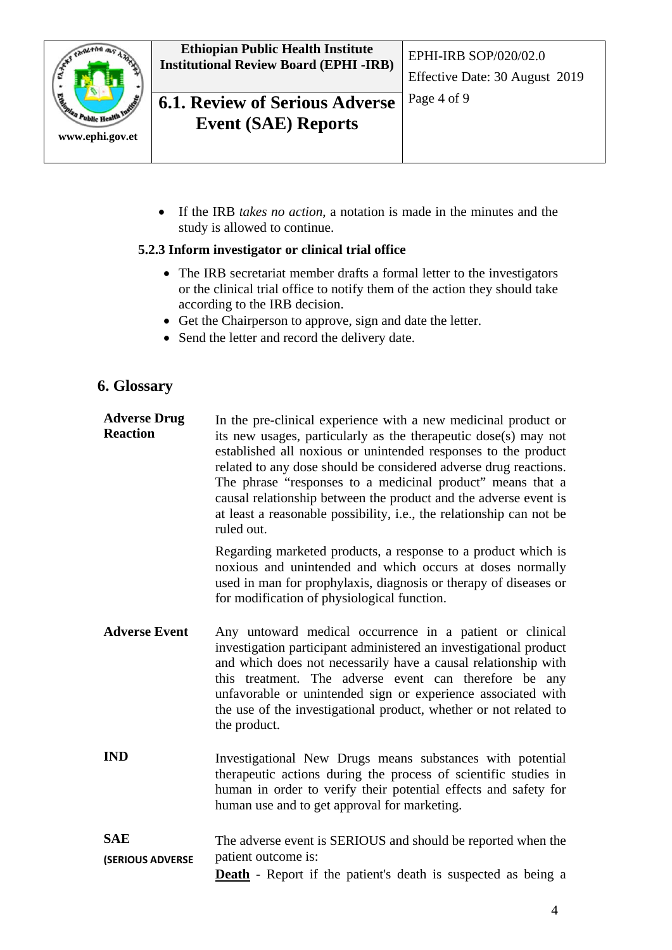

**Ethiopian Public Health Institute Institutional Review Board (EPHI -IRB)** EPHI-IRB SOP/020/02.0

**6.1. Review of Serious Adverse** | Page 4 of 9 **Event (SAE) Reports**

• If the IRB *takes no action*, a notation is made in the minutes and the study is allowed to continue.

#### <span id="page-3-0"></span>**5.2.3 Inform investigator or clinical trial office**

- The IRB secretariat member drafts a formal letter to the investigators or the clinical trial office to notify them of the action they should take according to the IRB decision.
- Get the Chairperson to approve, sign and date the letter.
- Send the letter and record the delivery date.

#### <span id="page-3-1"></span>**6. Glossary**

**Adverse Drug Reaction** In the pre-clinical experience with a new medicinal product or its new usages, particularly as the therapeutic dose(s) may not established all noxious or unintended responses to the product related to any dose should be considered adverse drug reactions. The phrase "responses to a medicinal product" means that a causal relationship between the product and the adverse event is at least a reasonable possibility, i.e., the relationship can not be ruled out.

> Regarding marketed products, a response to a product which is noxious and unintended and which occurs at doses normally used in man for prophylaxis, diagnosis or therapy of diseases or for modification of physiological function.

- **Adverse Event** Any untoward medical occurrence in a patient or clinical investigation participant administered an investigational product and which does not necessarily have a causal relationship with this treatment. The adverse event can therefore be any unfavorable or unintended sign or experience associated with the use of the investigational product, whether or not related to the product.
- **IND** Investigational New Drugs means substances with potential therapeutic actions during the process of scientific studies in human in order to verify their potential effects and safety for human use and to get approval for marketing.
- **SAE (SERIOUS ADVERSE**  The adverse event is SERIOUS and should be reported when the patient outcome is:
	- **Death** Report if the patient's death is suspected as being a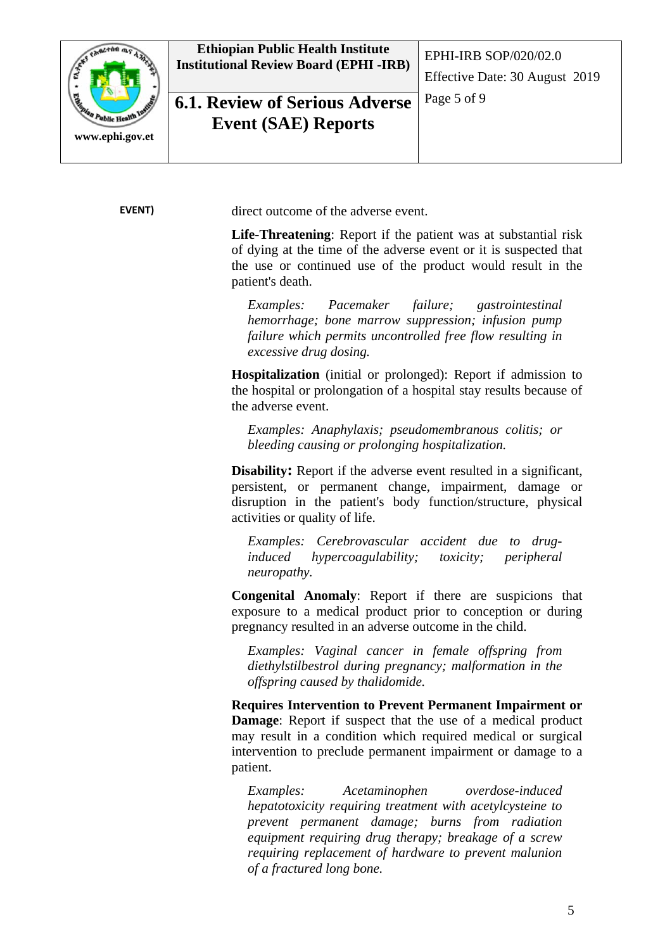

## Page 5 of 9 **6.1. Review of Serious Adverse Event (SAE) Reports**

**EVENT)** direct outcome of the adverse event.

**Life-Threatening**: Report if the patient was at substantial risk of dying at the time of the adverse event or it is suspected that the use or continued use of the product would result in the patient's death.

Effective Date: 30 August 2019

*Examples: Pacemaker failure; gastrointestinal hemorrhage; bone marrow suppression; infusion pump failure which permits uncontrolled free flow resulting in excessive drug dosing.* 

**Hospitalization** (initial or prolonged): Report if admission to the hospital or prolongation of a hospital stay results because of the adverse event.

*Examples: Anaphylaxis; pseudomembranous colitis; or bleeding causing or prolonging hospitalization.*

**Disability:** Report if the adverse event resulted in a significant, persistent, or permanent change, impairment, damage or disruption in the patient's body function/structure, physical activities or quality of life.

*Examples: Cerebrovascular accident due to druginduced hypercoagulability; toxicity; peripheral neuropathy.* 

**Congenital Anomaly**: Report if there are suspicions that exposure to a medical product prior to conception or during pregnancy resulted in an adverse outcome in the child.

*Examples: Vaginal cancer in female offspring from diethylstilbestrol during pregnancy; malformation in the offspring caused by thalidomide.* 

**Requires Intervention to Prevent Permanent Impairment or Damage**: Report if suspect that the use of a medical product may result in a condition which required medical or surgical intervention to preclude permanent impairment or damage to a patient.

*Examples: Acetaminophen overdose-induced hepatotoxicity requiring treatment with acetylcysteine to prevent permanent damage; burns from radiation equipment requiring drug therapy; breakage of a screw requiring replacement of hardware to prevent malunion of a fractured long bone.*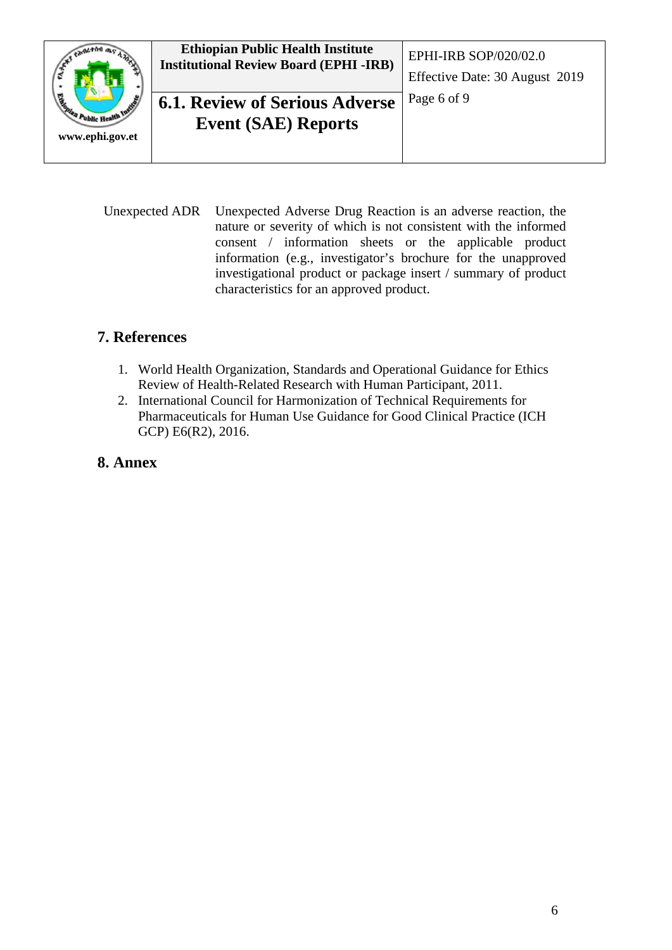

Unexpected ADR Unexpected Adverse Drug Reaction is an adverse reaction, the nature or severity of which is not consistent with the informed consent / information sheets or the applicable product information (e.g., investigator's brochure for the unapproved investigational product or package insert / summary of product characteristics for an approved product.

### <span id="page-5-0"></span>**7. References**

- 1. World Health Organization, Standards and Operational Guidance for Ethics Review of Health-Related Research with Human Participant, 2011.
- 2. International Council for Harmonization of Technical Requirements for Pharmaceuticals for Human Use Guidance for Good Clinical Practice (ICH GCP) E6(R2), 2016.

### <span id="page-5-1"></span>**8. Annex**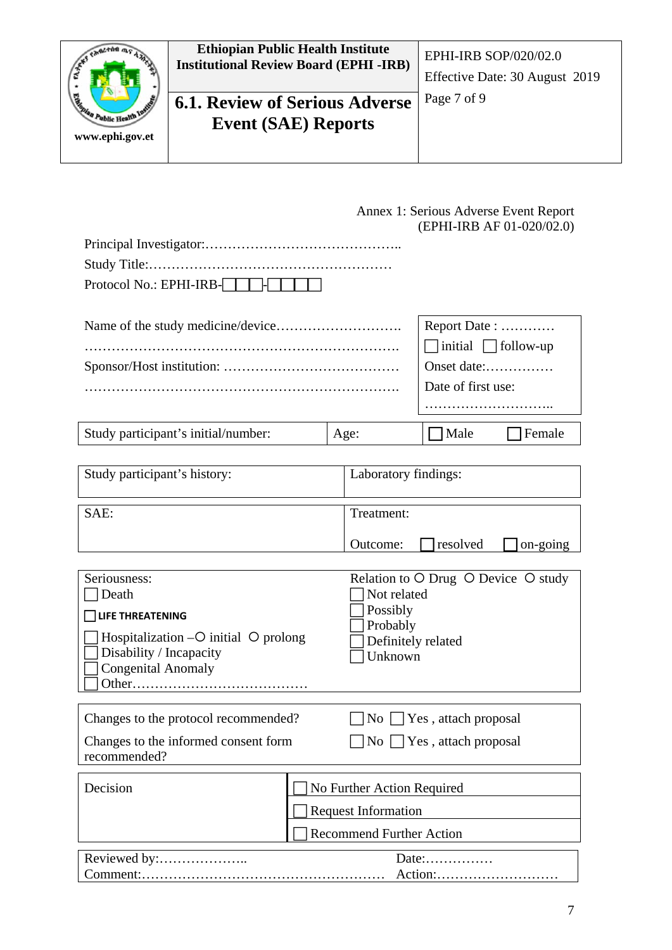

<span id="page-6-0"></span>

|                                                                                                                                                      |  |                                                                                             |                                              | Annex 1: Serious Adverse Event Report<br>(EPHI-IRB AF 01-020/02.0) |
|------------------------------------------------------------------------------------------------------------------------------------------------------|--|---------------------------------------------------------------------------------------------|----------------------------------------------|--------------------------------------------------------------------|
| Protocol No.: EPHI-IRB-[                                                                                                                             |  |                                                                                             |                                              |                                                                    |
|                                                                                                                                                      |  | Report Date:<br>$\Box$ initial $\Box$ follow-up<br>Onset date:<br>Date of first use:        |                                              |                                                                    |
| Study participant's initial/number:                                                                                                                  |  | Age:                                                                                        | Male                                         | Female                                                             |
| Study participant's history:                                                                                                                         |  | Laboratory findings:                                                                        |                                              |                                                                    |
| SAE:                                                                                                                                                 |  | Treatment:<br>Outcome:                                                                      | resolved                                     | on-going                                                           |
| Seriousness:<br>Death<br><b>LIFE THREATENING</b><br>Hospitalization $-O$ initial $O$ prolong<br>Disability / Incapacity<br><b>Congenital Anomaly</b> |  | Not related<br>Possibly<br>Probably<br>Definitely related<br>Unknown                        | Relation to O Drug O Device O study          |                                                                    |
| Changes to the protocol recommended?<br>Changes to the informed consent form<br>recommended?                                                         |  | $\overline{N_{O}}$<br>N <sub>0</sub>                                                        | Yes, attach proposal<br>Yes, attach proposal |                                                                    |
| Decision                                                                                                                                             |  | No Further Action Required<br><b>Request Information</b><br><b>Recommend Further Action</b> |                                              |                                                                    |

| .      |
|--------|
| ACUOII |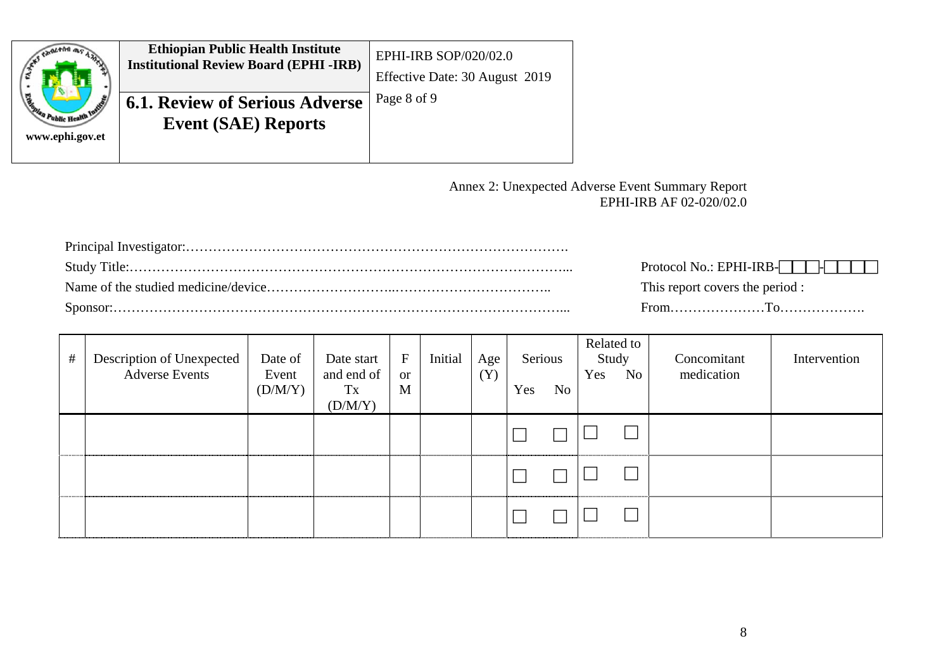| ۰                                                                              | <b>Ethiopian Public Health Institute</b><br><b>Institutional Review Board (EPHI-IRB)</b> | <b>EPHI-IRB SOP/020/02.0</b><br>Effective Date: 30 August 2019 |
|--------------------------------------------------------------------------------|------------------------------------------------------------------------------------------|----------------------------------------------------------------|
| <b>Casola</b><br><b>O Public Health Indian (St. 1988)</b> 6<br>www.ephi.gov.et | <b>6.1. Review of Serious Adverse</b><br><b>Event (SAE) Reports</b>                      | Page 8 of 9                                                    |

#### Annex 2: Unexpected Adverse Event Summary Report EPHI-IRB AF 02-020/02.0

| Protocol No.: EPHI-IRB-NUM-NUMBI |
|----------------------------------|
| This report covers the period :  |
|                                  |

<span id="page-7-0"></span>

| # | Description of Unexpected<br><b>Adverse Events</b> | Date of<br>Event<br>(D/M/Y) | Date start<br>and end of<br>Tx<br>(D/M/Y) | $\mathbf{F}$<br><b>or</b><br>M | Initial | Age<br>(Y) | Serious<br>Yes<br>No | Related to<br>Study<br>Yes<br>No. | Concomitant<br>medication | Intervention |
|---|----------------------------------------------------|-----------------------------|-------------------------------------------|--------------------------------|---------|------------|----------------------|-----------------------------------|---------------------------|--------------|
|   |                                                    |                             |                                           |                                |         |            |                      |                                   |                           |              |
|   |                                                    |                             |                                           |                                |         |            |                      |                                   |                           |              |
|   |                                                    |                             |                                           |                                |         |            |                      |                                   |                           |              |